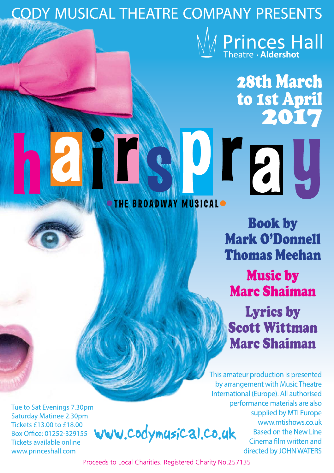# **CODY MUSICAL THEATRE COMPANY PRESENTS Princes Hall**

**28th March** to 1st April **2017** 

**SUIFIL** 

## THE BROADWAY MUSICALO

**Book by Mark O'Donnell Thomas Meehan Music by Marc Shaiman Lyrics by** 

**Scott Wittman Marc Shaiman** 

This amateur production is presented by arrangement with Music Theatre International (Europe). All authorised performance materials are also supplied by MTI Europe www.mtishows.co.uk **Based on the New Line** Cinema film written and directed by JOHN WATERS

Tue to Sat Evenings 7.30pm **Saturday Matinee 2.30pm** Tickets £13,00 to £18,00 Box Office: 01252-329155 **Tickets available online** www.princeshall.com

www.codymusical.co.uk

Proceeds to Local Charities. Registered Charity No.257135